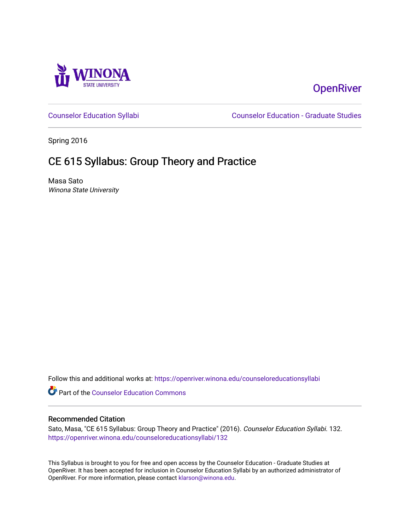

# **OpenRiver**

[Counselor Education Syllabi](https://openriver.winona.edu/counseloreducationsyllabi) [Counselor Education - Graduate Studies](https://openriver.winona.edu/counseloreducation) 

Spring 2016

# CE 615 Syllabus: Group Theory and Practice

Masa Sato Winona State University

Follow this and additional works at: [https://openriver.winona.edu/counseloreducationsyllabi](https://openriver.winona.edu/counseloreducationsyllabi?utm_source=openriver.winona.edu%2Fcounseloreducationsyllabi%2F132&utm_medium=PDF&utm_campaign=PDFCoverPages)

Part of the [Counselor Education Commons](http://network.bepress.com/hgg/discipline/1278?utm_source=openriver.winona.edu%2Fcounseloreducationsyllabi%2F132&utm_medium=PDF&utm_campaign=PDFCoverPages) 

### Recommended Citation

Sato, Masa, "CE 615 Syllabus: Group Theory and Practice" (2016). Counselor Education Syllabi. 132. [https://openriver.winona.edu/counseloreducationsyllabi/132](https://openriver.winona.edu/counseloreducationsyllabi/132?utm_source=openriver.winona.edu%2Fcounseloreducationsyllabi%2F132&utm_medium=PDF&utm_campaign=PDFCoverPages)

This Syllabus is brought to you for free and open access by the Counselor Education - Graduate Studies at OpenRiver. It has been accepted for inclusion in Counselor Education Syllabi by an authorized administrator of OpenRiver. For more information, please contact [klarson@winona.edu](mailto:klarson@winona.edu).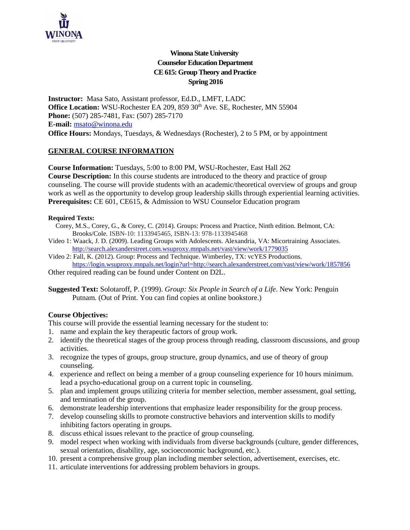

# **Winona State University Counselor Education Department CE 615: Group Theory and Practice Spring 2016**

**Instructor:** Masa Sato, Assistant professor, Ed.D., LMFT, LADC Office Location: WSU-Rochester EA 209, 859 30<sup>th</sup> Ave. SE, Rochester, MN 55904 **Phone:** (507) 285-7481, Fax: (507) 285-7170 **E-mail:** [msato@winona.edu](mailto:msato@winona.edu) **Office Hours:** Mondays, Tuesdays, & Wednesdays (Rochester), 2 to 5 PM, or by appointment

## **GENERAL COURSE INFORMATION**

**Course Information:** Tuesdays, 5:00 to 8:00 PM, WSU-Rochester, East Hall 262 **Course Description:** In this course students are introduced to the theory and practice of group counseling. The course will provide students with an academic/theoretical overview of groups and group work as well as the opportunity to develop group leadership skills through experiential learning activities. **Prerequisites:** CE 601, CE615, & Admission to WSU Counselor Education program

#### **Required Texts:**

- Corey, M.S., Corey, G., & Corey, C. (2014). Groups: Process and Practice, Ninth edition. Belmont, CA: Brooks/Cole. ISBN-10: 1133945465, ISBN-13: 978-1133945468
- Video 1: Waack, J. D. (2009). Leading Groups with Adolescents. Alexandria, VA: Micortraining Associates. <http://search.alexanderstreet.com.wsuproxy.mnpals.net/vast/view/work/1779035>
- Video 2: Fall, K. (2012). Group: Process and Technique. Wimberley, TX: vcYES Productions. https://login.wsuproxy.mnpals.net/login?url=http://search.alexanderstreet.com/vast/view/work/1857856

Other required reading can be found under Content on D2L.

**Suggested Text:** Solotaroff, P. (1999). *Group: Six People in Search of a Life*. New York: Penguin Putnam. (Out of Print. You can find copies at online bookstore.)

## **Course Objectives:**

This course will provide the essential learning necessary for the student to:

- 1. name and explain the key therapeutic factors of group work.
- 2. identify the theoretical stages of the group process through reading, classroom discussions, and group activities.
- 3. recognize the types of groups, group structure, group dynamics, and use of theory of group counseling.
- 4. experience and reflect on being a member of a group counseling experience for 10 hours minimum. lead a psycho-educational group on a current topic in counseling.
- 5. plan and implement groups utilizing criteria for member selection, member assessment, goal setting, and termination of the group.
- 6. demonstrate leadership interventions that emphasize leader responsibility for the group process.
- 7. develop counseling skills to promote constructive behaviors and intervention skills to modify inhibiting factors operating in groups.
- 8. discuss ethical issues relevant to the practice of group counseling.
- 9. model respect when working with individuals from diverse backgrounds (culture, gender differences, sexual orientation, disability, age, socioeconomic background, etc.).
- 10. present a comprehensive group plan including member selection, advertisement, exercises, etc.
- 11. articulate interventions for addressing problem behaviors in groups.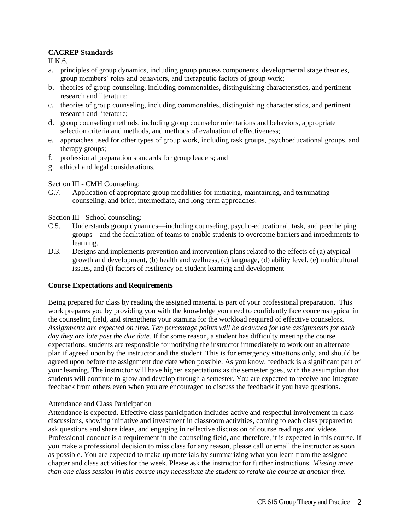## **CACREP Standards**

II.K.6.

- a. principles of group dynamics, including group process components, developmental stage theories, group members' roles and behaviors, and therapeutic factors of group work;
- b. theories of group counseling, including commonalties, distinguishing characteristics, and pertinent research and literature;
- c. theories of group counseling, including commonalties, distinguishing characteristics, and pertinent research and literature;
- d. group counseling methods, including group counselor orientations and behaviors, appropriate selection criteria and methods, and methods of evaluation of effectiveness;
- e. approaches used for other types of group work, including task groups, psychoeducational groups, and therapy groups;
- f. professional preparation standards for group leaders; and
- g. ethical and legal considerations.

### Section III - CMH Counseling:

G.7. Application of appropriate group modalities for initiating, maintaining, and terminating counseling, and brief, intermediate, and long-term approaches.

Section III - School counseling:

- C.5. Understands group dynamics—including counseling, psycho-educational, task, and peer helping groups—and the facilitation of teams to enable students to overcome barriers and impediments to learning.
- D.3. Designs and implements prevention and intervention plans related to the effects of (a) atypical growth and development, (b) health and wellness, (c) language, (d) ability level, (e) multicultural issues, and (f) factors of resiliency on student learning and development

#### **Course Expectations and Requirements**

Being prepared for class by reading the assigned material is part of your professional preparation. This work prepares you by providing you with the knowledge you need to confidently face concerns typical in the counseling field, and strengthens your stamina for the workload required of effective counselors. *Assignments are expected on time. Ten percentage points will be deducted for late assignments for each day they are late past the due date.* If for some reason, a student has difficulty meeting the course expectations, students are responsible for notifying the instructor immediately to work out an alternate plan if agreed upon by the instructor and the student. This is for emergency situations only, and should be agreed upon before the assignment due date when possible. As you know, feedback is a significant part of your learning. The instructor will have higher expectations as the semester goes, with the assumption that students will continue to grow and develop through a semester. You are expected to receive and integrate feedback from others even when you are encouraged to discuss the feedback if you have questions.

#### Attendance and Class Participation

Attendance is expected. Effective class participation includes active and respectful involvement in class discussions, showing initiative and investment in classroom activities, coming to each class prepared to ask questions and share ideas, and engaging in reflective discussion of course readings and videos. Professional conduct is a requirement in the counseling field, and therefore, it is expected in this course. If you make a professional decision to miss class for any reason, please call or email the instructor as soon as possible. You are expected to make up materials by summarizing what you learn from the assigned chapter and class activities for the week. Please ask the instructor for further instructions. *Missing more than one class session in this course may necessitate the student to retake the course at another time.*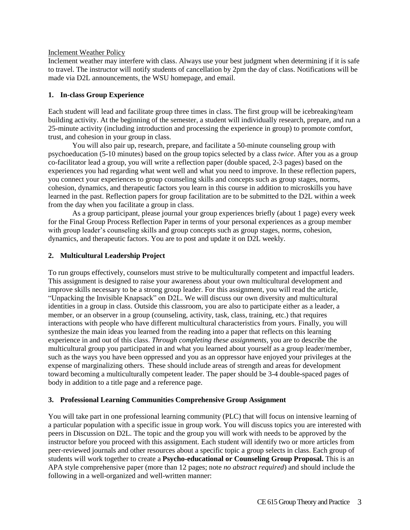#### Inclement Weather Policy

Inclement weather may interfere with class. Always use your best judgment when determining if it is safe to travel. The instructor will notify students of cancellation by 2pm the day of class. Notifications will be made via D2L announcements, the WSU homepage, and email.

#### **1. In-class Group Experience**

Each student will lead and facilitate group three times in class. The first group will be icebreaking/team building activity. At the beginning of the semester, a student will individually research, prepare, and run a 25-minute activity (including introduction and processing the experience in group) to promote comfort, trust, and cohesion in your group in class.

You will also pair up, research, prepare, and facilitate a 50-minute counseling group with psychoeducation (5-10 minutes) based on the group topics selected by a class *twice*. After you as a group co-facilitator lead a group, you will write a reflection paper (double spaced, 2-3 pages) based on the experiences you had regarding what went well and what you need to improve. In these reflection papers, you connect your experiences to group counseling skills and concepts such as group stages, norms, cohesion, dynamics, and therapeutic factors you learn in this course in addition to microskills you have learned in the past. Reflection papers for group facilitation are to be submitted to the D2L within a week from the day when you facilitate a group in class.

As a group participant, please journal your group experiences briefly (about 1 page) every week for the Final Group Process Reflection Paper in terms of your personal experiences as a group member with group leader's counseling skills and group concepts such as group stages, norms, cohesion, dynamics, and therapeutic factors. You are to post and update it on D2L weekly.

#### **2. Multicultural Leadership Project**

To run groups effectively, counselors must strive to be multiculturally competent and impactful leaders. This assignment is designed to raise your awareness about your own multicultural development and improve skills necessary to be a strong group leader. For this assignment, you will read the article, "Unpacking the Invisible Knapsack" on D2L. We will discuss our own diversity and multicultural identities in a group in class. Outside this classroom, you are also to participate either as a leader, a member, or an observer in a group (counseling, activity, task, class, training, etc.) that requires interactions with people who have different multicultural characteristics from yours. Finally, you will synthesize the main ideas you learned from the reading into a paper that reflects on this learning experience in and out of this class. *Through completing these assignments,* you are to describe the multicultural group you participated in and what you learned about yourself as a group leader/member, such as the ways you have been oppressed and you as an oppressor have enjoyed your privileges at the expense of marginalizing others. These should include areas of strength and areas for development toward becoming a multiculturally competent leader. The paper should be 3-4 double-spaced pages of body in addition to a title page and a reference page.

#### **3. Professional Learning Communities Comprehensive Group Assignment**

You will take part in one professional learning community (PLC) that will focus on intensive learning of a particular population with a specific issue in group work. You will discuss topics you are interested with peers in Discussion on D2L. The topic and the group you will work with needs to be approved by the instructor before you proceed with this assignment. Each student will identify two or more articles from peer-reviewed journals and other resources about a specific topic a group selects in class. Each group of students will work together to create a **Psycho-educational or Counseling Group Proposal.** This is an APA style comprehensive paper (more than 12 pages; note *no abstract required*) and should include the following in a well-organized and well-written manner: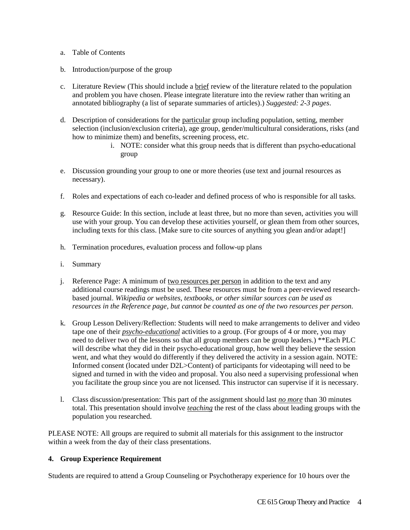- a. Table of Contents
- b. Introduction/purpose of the group
- c. Literature Review (This should include a brief review of the literature related to the population and problem you have chosen. Please integrate literature into the review rather than writing an annotated bibliography (a list of separate summaries of articles).) *Suggested: 2-3 pages*.
- d. Description of considerations for the particular group including population, setting, member selection (inclusion/exclusion criteria), age group, gender/multicultural considerations, risks (and how to minimize them) and benefits, screening process, etc.
	- i. NOTE: consider what this group needs that is different than psycho-educational group
- e. Discussion grounding your group to one or more theories (use text and journal resources as necessary).
- f. Roles and expectations of each co-leader and defined process of who is responsible for all tasks.
- g. Resource Guide: In this section, include at least three, but no more than seven, activities you will use with your group. You can develop these activities yourself, or glean them from other sources, including texts for this class. [Make sure to cite sources of anything you glean and/or adapt!]
- h. Termination procedures, evaluation process and follow-up plans
- i. Summary
- j. Reference Page: A minimum of two resources per person in addition to the text and any additional course readings must be used. These resources must be from a peer-reviewed researchbased journal. *Wikipedia or websites, textbooks, or other similar sources can be used as resources in the Reference page, but cannot be counted as one of the two resources per person.*
- k. Group Lesson Delivery/Reflection: Students will need to make arrangements to deliver and video tape one of their *psycho-educational* activities to a group. (For groups of 4 or more, you may need to deliver two of the lessons so that all group members can be group leaders.) \*\*Each PLC will describe what they did in their psycho-educational group, how well they believe the session went, and what they would do differently if they delivered the activity in a session again. NOTE: Informed consent (located under D2L>Content) of participants for videotaping will need to be signed and turned in with the video and proposal. You also need a supervising professional when you facilitate the group since you are not licensed. This instructor can supervise if it is necessary.
- l. Class discussion/presentation: This part of the assignment should last *no more* than 30 minutes total. This presentation should involve *teaching* the rest of the class about leading groups with the population you researched.

PLEASE NOTE: All groups are required to submit all materials for this assignment to the instructor within a week from the day of their class presentations.

#### **4. Group Experience Requirement**

Students are required to attend a Group Counseling or Psychotherapy experience for 10 hours over the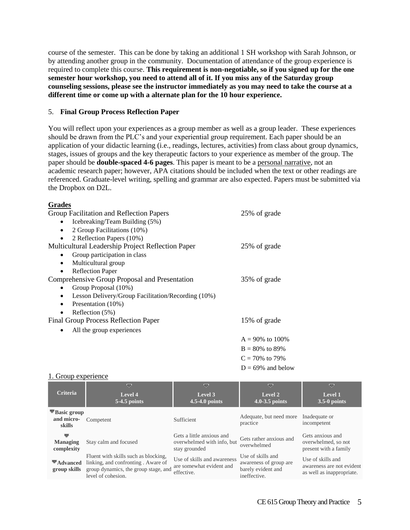course of the semester. This can be done by taking an additional 1 SH workshop with Sarah Johnson, or by attending another group in the community. Documentation of attendance of the group experience is required to complete this course. **This requirement is non-negotiable, so if you signed up for the one semester hour workshop, you need to attend all of it. If you miss any of the Saturday group counseling sessions, please see the instructor immediately as you may need to take the course at a different time or come up with a alternate plan for the 10 hour experience.** 

#### 5. **Final Group Process Reflection Paper**

You will reflect upon your experiences as a group member as well as a group leader. These experiences should be drawn from the PLC's and your experiential group requirement. Each paper should be an application of your didactic learning (i.e., readings, lectures, activities) from class about group dynamics, stages, issues of groups and the key therapeutic factors to your experience as member of the group. The paper should be **double-spaced 4-6 pages**. This paper is meant to be a personal narrative, not an academic research paper; however, APA citations should be included when the text or other readings are referenced. Graduate-level writing, spelling and grammar are also expected. Papers must be submitted via the Dropbox on D2L.

#### **Grades**

| Group Facilitation and Reflection Papers                        | 25% of grade         |
|-----------------------------------------------------------------|----------------------|
| Icebreaking/Team Building (5%)<br>٠                             |                      |
| 2 Group Facilitations (10%)<br>$\bullet$                        |                      |
| 2 Reflection Papers (10%)                                       |                      |
| Multicultural Leadership Project Reflection Paper               | 25% of grade         |
| Group participation in class                                    |                      |
| Multicultural group<br>$\bullet$                                |                      |
| <b>Reflection Paper</b>                                         |                      |
| Comprehensive Group Proposal and Presentation                   | 35% of grade         |
| Group Proposal (10%)                                            |                      |
| Lesson Delivery/Group Facilitation/Recording (10%)<br>$\bullet$ |                      |
| Presentation (10%)<br>$\bullet$                                 |                      |
| Reflection (5%)<br>٠                                            |                      |
| Final Group Process Reflection Paper                            | 15% of grade         |
| All the group experiences                                       |                      |
|                                                                 | $A = 90\%$ to 100%   |
|                                                                 | $B = 80\%$ to 89%    |
|                                                                 | $C = 70\%$ to 79%    |
|                                                                 | $D = 69\%$ and below |

#### 1. Group experience

| <b>Criteria</b>                                          | U<br>Level 4<br>5-4.5 points                                                                                                             | U<br>Level 3<br>$4.5 - 4.0$ points                                       | ▽<br>Level 2<br>4.0-3.5 points                                                    | ▽<br>Level 1<br>$3.5-0$ points                                              |
|----------------------------------------------------------|------------------------------------------------------------------------------------------------------------------------------------------|--------------------------------------------------------------------------|-----------------------------------------------------------------------------------|-----------------------------------------------------------------------------|
| $\blacktriangledown$ Basic group<br>and micro-<br>skills | Competent                                                                                                                                | Sufficient                                                               | Adequate, but need more<br>practice                                               | Inadequate or<br>incompetent                                                |
| ▼<br><b>Managing</b><br>complexity                       | Stay calm and focused                                                                                                                    | Gets a little anxious and<br>overwhelmed with info, but<br>stay grounded | Gets rather anxious and<br>overwhelmed                                            | Gets anxious and<br>overwhelmed, so not<br>present with a family            |
| $\blacktriangledown$ Advanced<br>group skills            | Fluent with skills such as blocking.<br>linking, and confronting. Aware of<br>group dynamics, the group stage, and<br>level of cohesion. | Use of skills and awareness<br>are somewhat evident and<br>effective.    | Use of skills and<br>awareness of group are<br>barely evident and<br>ineffective. | Use of skills and<br>awareness are not evident<br>as well as inappropriate. |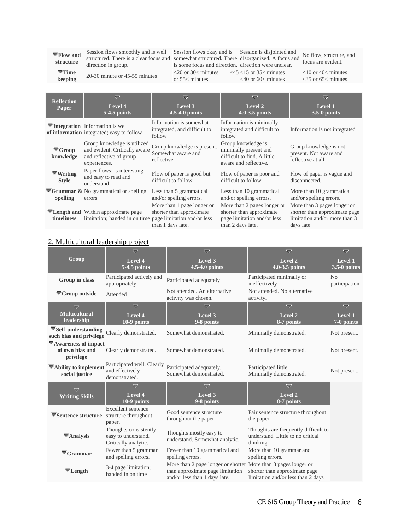**Flow and structure**

Session flows smoothly and is well Session flows okay and is Session is disjointed and structured. There is a clear focus and somewhat structured. There disorganized. A focus and focus are avident direction in group.

is some focus and direction. direction were unclear. or 55< minutes  $\langle 20 \text{ or } 30 \rangle$  minutes  $\langle 45 \rangle$   $\langle 15 \text{ or } 35 \rangle$  minutes

<40 or 60< minutes

focus are evident.

<10 or 40< minutes <35 or 65< minutes

**Time keeping** 20-30 minute or 45-55 minutes

| <b>Reflection</b><br>Paper                   | ▽<br>Level 4<br>5-4.5 points                                                                                      | $\overline{\phantom{a}}$<br>Level 3<br>4.5-4.0 points                       | ▽<br>Level 2<br>4.0-3.5 points                                                                              | ▽<br>Level 1<br>$3.5-0$ points                                                                              |
|----------------------------------------------|-------------------------------------------------------------------------------------------------------------------|-----------------------------------------------------------------------------|-------------------------------------------------------------------------------------------------------------|-------------------------------------------------------------------------------------------------------------|
|                                              | ▼Integration Information is well<br>of information integrated; easy to follow                                     | Information is somewhat<br>integrated, and difficult to<br>follow           | Information is minimally<br>integrated and difficult to<br>follow                                           | Information is not integrated                                                                               |
| $\blacktriangledown$ Group<br>knowledge      | Group knowledge is utilized<br>and evident. Critically aware<br>and reflective of group<br>experiences.           | Group knowledge is present.<br>Somewhat aware and<br>reflective.            | Group knowledge is<br>minimally present and<br>difficult to find. A little<br>aware and reflective.         | Group knowledge is not<br>present. Not aware and<br>reflective at all.                                      |
| $\blacktriangledown$ Writing<br><b>Style</b> | Paper flows; is interesting<br>and easy to read and<br>understand                                                 | Flow of paper is good but<br>difficult to follow.                           | Flow of paper is poor and<br>difficult to follow                                                            | Flow of paper is vague and<br>disconnected.                                                                 |
| <b>Spelling</b>                              | $\blacktriangledown$ Grammar & No grammatical or spelling<br>errors                                               | Less than 5 grammatical<br>and/or spelling errors.                          | Less than 10 grammatical<br>and/or spelling errors.                                                         | More than 10 grammatical<br>and/or spelling errors.                                                         |
| timeliness                                   | <b>Example 12</b> Length and Within approximate page<br>limitation; handed in on time page limitation and/or less | More than 1 page longer or<br>shorter than approximate<br>than 1 days late. | More than 2 pages longer or<br>shorter than approximate<br>page limitation and/or less<br>than 2 days late. | More than 3 pages longer or<br>shorter than approximate page<br>limitation and/or more than 3<br>days late. |

#### 2. Multicultural leadership project

| Group                                                        | $\overline{\nabla}$<br>Level 4<br>5-4.5 points                       | $\overline{\nabla}$<br>Level 3<br>4.5-4.0 points                                                                                    | $\overline{\nabla}$<br>Level <sub>2</sub><br>4.0-3.5 points                            | $\overline{\nabla}$<br><b>Level 1</b><br>$3.5-0$ points |
|--------------------------------------------------------------|----------------------------------------------------------------------|-------------------------------------------------------------------------------------------------------------------------------------|----------------------------------------------------------------------------------------|---------------------------------------------------------|
| Group in class                                               | Participated actively and<br>appropriately                           | Participated adequately                                                                                                             | Participated minimally or<br>ineffectively                                             | N <sub>0</sub><br>participation                         |
| $\blacktriangledown$ Group outside                           | Attended                                                             | Not attended. An alternative<br>activity was chosen.                                                                                | Not attended. No alternative<br>activity.                                              |                                                         |
| U                                                            | $\overline{a}$                                                       | ᇦ                                                                                                                                   | ᇦ                                                                                      | U                                                       |
| <b>Multicultural</b><br>leadership                           | Level 4<br>10-9 points                                               | Level 3<br>9-8 points                                                                                                               | Level $2$<br>8-7 points                                                                | <b>Level 1</b><br>$\sqrt{7-0}$ points                   |
| $\nabla$ Self-understanding<br>such bias and privilege       | Clearly demonstrated.                                                | Somewhat demonstrated.                                                                                                              | Minimally demonstrated.                                                                | Not present.                                            |
| $\nabla$ Awareness of impact<br>of own bias and<br>privilege | Clearly demonstrated.                                                | Somewhat demonstrated.                                                                                                              | Minimally demonstrated.                                                                | Not present.                                            |
| $\nabla$ Ability to implement<br>social justice              | Participated well. Clearly<br>and effectively<br>demonstrated.       | Participated adequately.<br>Somewhat demonstrated.                                                                                  | Participated little.<br>Minimally demonstrated.                                        | Not present.                                            |
| $\overline{a}$                                               | $\overline{a}$                                                       | U                                                                                                                                   | $\overline{\smile}$                                                                    |                                                         |
| <b>Writing Skills</b>                                        | Level 4<br>10-9 points                                               | Level 3<br>9-8 points                                                                                                               | Level 2<br>8-7 points                                                                  |                                                         |
| Sentence structure structure throughout                      | Excellent sentence<br>paper.                                         | Good sentence structure<br>throughout the paper.                                                                                    | Fair sentence structure throughout<br>the paper.                                       |                                                         |
| $\blacktriangleright$ Analysis                               | Thoughts consistently<br>easy to understand.<br>Critically analytic. | Thoughts mostly easy to<br>understand. Somewhat analytic.                                                                           | Thoughts are frequently difficult to<br>understand. Little to no critical<br>thinking. |                                                         |
| $\blacktriangledown$ Grammar                                 | Fewer than 5 grammar<br>and spelling errors.                         | Fewer than 10 grammatical and<br>spelling errors.                                                                                   | More than 10 grammar and<br>spelling errors.                                           |                                                         |
| $\blacktriangledown$ Length                                  | 3-4 page limitation;<br>handed in on time                            | More than 2 page longer or shorter More than 3 pages longer or<br>than approximate page limitation<br>and/or less than 1 days late. | shorter than approximate page<br>limitation and/or less than 2 days                    |                                                         |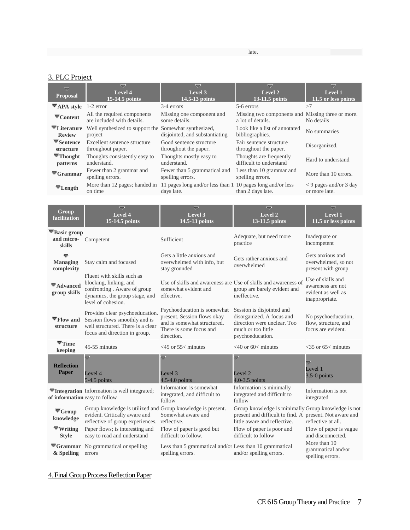late.

# 3. PLC Project

| ▽<br><b>Proposal</b>                       | ≂<br>Level 4<br>$15-14.5$ points                          | ᇦ<br>Level 3<br>14.5-13 points                                           | $\overline{a}$<br>Level 2<br>$13-11.5$ points                          | U<br>Level 1<br>$11.5$ or less points                   |
|--------------------------------------------|-----------------------------------------------------------|--------------------------------------------------------------------------|------------------------------------------------------------------------|---------------------------------------------------------|
| $\nabla$ APA style 1-2 error               |                                                           | 3-4 errors                                                               | 5-6 errors                                                             | >7                                                      |
| $\mathbf{\nabla}_{\mathbf{Content}}$       | All the required components<br>are included with details. | Missing one component and<br>some details.                               | Missing two components and Missing three or more.<br>a lot of details. | No details                                              |
| $\nabla$ Literature<br><b>Review</b>       | Well synthesized to support the<br>project                | Somewhat synthesized,<br>disjointed, and substantiating                  | Look like a list of annotated<br>bibliographies.                       | No summaries                                            |
| $\blacktriangledown$ Sentence<br>structure | Excellent sentence structure<br>throughout paper.         | Good sentence structure<br>throughout the paper.                         | Fair sentence structure<br>throughout the paper.                       | Disorganized.                                           |
| $\blacktriangledown$ Thought<br>patterns   | Thoughts consistently easy to<br>understand.              | Thoughts mostly easy to<br>understand.                                   | Thoughts are frequently<br>difficult to understand                     | Hard to understand                                      |
| $\mathbf{\nabla}$ Grammar                  | Fewer than 2 grammar and<br>spelling errors.              | Fewer than 5 grammatical and<br>spelling errors.                         | Less than 10 grammar and<br>spelling errors.                           | More than 10 errors.                                    |
| $\blacktriangledown$ Length                | More than 12 pages; handed in<br>on time                  | 11 pages long and/or less than 1 10 pages long and/or less<br>days late. | than 2 days late.                                                      | $\langle 9 \rangle$ pages and/or 3 day<br>or more late. |

| Group<br>facilitation                                    | ᇦ<br>Level 4<br>15-14.5 points                                                                                                              | ᇦ<br>Level 3<br>14.5-13 points                                                                                                     | ᇦ<br>Level <sub>2</sub><br>13-11.5 points                                                                                                      | $\overline{\nabla}$<br>Level 1<br>11.5 or less points                          |
|----------------------------------------------------------|---------------------------------------------------------------------------------------------------------------------------------------------|------------------------------------------------------------------------------------------------------------------------------------|------------------------------------------------------------------------------------------------------------------------------------------------|--------------------------------------------------------------------------------|
| $\blacktriangledown$ Basic group<br>and micro-<br>skills | Competent                                                                                                                                   | Sufficient                                                                                                                         | Adequate, but need more<br>practice                                                                                                            | Inadequate or<br>incompetent                                                   |
| <b>Managing</b><br>complexity                            | Stay calm and focused                                                                                                                       | Gets a little anxious and<br>overwhelmed with info, but<br>stay grounded                                                           | Gets rather anxious and<br>overwhelmed                                                                                                         | Gets anxious and<br>overwhelmed, so not<br>present with group                  |
| $\blacktriangledown$ Advanced<br>group skills            | Fluent with skills such as<br>blocking, linking, and<br>confronting. Aware of group<br>dynamics, the group stage, and<br>level of cohesion. | Use of skills and awareness are Use of skills and awareness of<br>somewhat evident and<br>effective.                               | group are barely evident and<br>ineffective.                                                                                                   | Use of skills and<br>awareness are not<br>evident as well as<br>inappropriate. |
| $\Pi$ Flow and<br>structure                              | Provides clear psychoeducation.<br>Session flows smoothly and is<br>well structured. There is a clear<br>focus and direction in group.      | Psychoeducation is somewhat<br>present. Session flows okay<br>and is somewhat structured.<br>There is some focus and<br>direction. | Session is disjointed and<br>disorganized. A focus and<br>direction were unclear. Too<br>much or too little<br>psychoeducation.                | No psychoeducation,<br>flow, structure, and<br>focus are evident.              |
| $\blacktriangledown$ Time<br>keeping                     | 45-55 minutes                                                                                                                               | $<$ 45 or 55 $<$ minutes                                                                                                           | $<40$ or 60 $<$ minutes                                                                                                                        | $<$ 35 or 65 $<$ minutes                                                       |
| <b>Reflection</b><br><b>Paper</b>                        | ≂<br>Level 4<br>$5-4.5$ points                                                                                                              | Ψ<br>Level 3<br>$4.5 - 4.0$ points                                                                                                 | ᇦ<br>Level <sub>2</sub><br>$4.0 - 3.5$ points                                                                                                  | ≂<br>Level 1<br>$3.5-0$ points                                                 |
| of information easy to follow                            | <b>▼Integration</b> Information is well integrated;                                                                                         | Information is somewhat<br>integrated, and difficult to<br>follow                                                                  | Information is minimally<br>integrated and difficult to<br>follow                                                                              | Information is not<br>integrated                                               |
| $\blacktriangledown$ Group<br>knowledge                  | Group knowledge is utilized and<br>evident. Critically aware and<br>reflective of group experiences. reflective.                            | Group knowledge is present.<br>Somewhat aware and                                                                                  | Group knowledge is minimally Group knowledge is not<br>present and difficult to find. A present. Not aware and<br>little aware and reflective. | reflective at all.                                                             |
| $\blacktriangledown$ Writing<br><b>Style</b>             | Paper flows; is interesting and<br>easy to read and understand                                                                              | Flow of paper is good but<br>difficult to follow.                                                                                  | Flow of paper is poor and<br>difficult to follow                                                                                               | Flow of paper is vague<br>and disconnected.                                    |
| $\blacktriangledown$ Grammar<br>& Spelling               | No grammatical or spelling<br>errors                                                                                                        | Less than 5 grammatical and/or Less than 10 grammatical<br>spelling errors.                                                        | and/or spelling errors.                                                                                                                        | More than 10<br>grammatical and/or<br>spelling errors.                         |

# 4. Final Group Process Reflection Paper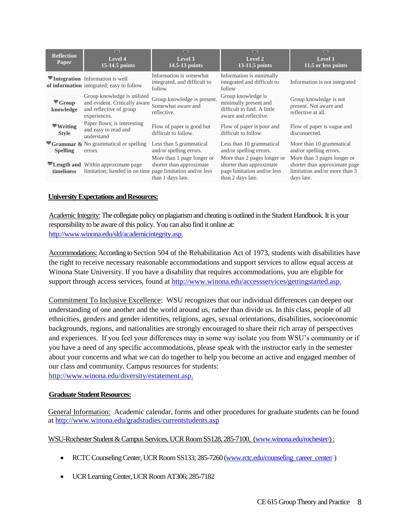| <b>Reflection</b><br><b>Paper</b>            | $\overline{\nabla}$<br>Level 4<br>15-14.5 points                                                                  | ≂<br>Level 3<br>14.5-13 points                                              | ᇦ<br>Level 2<br>13-11.5 points                                                                              | ▽<br>Level 1<br>11.5 or less points                                                                         |
|----------------------------------------------|-------------------------------------------------------------------------------------------------------------------|-----------------------------------------------------------------------------|-------------------------------------------------------------------------------------------------------------|-------------------------------------------------------------------------------------------------------------|
|                                              | <b>Exercise</b> Information is well<br>of information integrated; easy to follow                                  | Information is somewhat<br>integrated, and difficult to<br>follow           | Information is minimally<br>integrated and difficult to<br>follow                                           | Information is not integrated                                                                               |
| $\blacktriangledown$ Group<br>knowledge      | Group knowledge is utilized<br>and evident. Critically aware<br>and reflective of group<br>experiences.           | Group knowledge is present.<br>Somewhat aware and<br>reflective.            | Group knowledge is<br>minimally present and<br>difficult to find. A little<br>aware and reflective.         | Group knowledge is not<br>present. Not aware and<br>reflective at all.                                      |
| $\blacktriangledown$ Writing<br><b>Style</b> | Paper flows; is interesting<br>and easy to read and<br>understand                                                 | Flow of paper is good but<br>difficult to follow.                           | Flow of paper is poor and<br>difficult to follow                                                            | Flow of paper is vague and<br>disconnected.                                                                 |
| <b>Spelling</b>                              | $\blacktriangledown$ Grammar & No grammatical or spelling<br>errors                                               | Less than 5 grammatical<br>and/or spelling errors.                          | Less than 10 grammatical<br>and/or spelling errors.                                                         | More than 10 grammatical<br>and/or spelling errors.                                                         |
| timeliness                                   | <b>Example 12</b> Length and Within approximate page<br>limitation; handed in on time page limitation and/or less | More than 1 page longer or<br>shorter than approximate<br>than 1 days late. | More than 2 pages longer or<br>shorter than approximate<br>page limitation and/or less<br>than 2 days late. | More than 3 pages longer or<br>shorter than approximate page<br>limitation and/or more than 3<br>days late. |
|                                              |                                                                                                                   |                                                                             |                                                                                                             |                                                                                                             |

#### **University Expectations and Resources:**

Academic Integrity:The collegiate policy on plagiarism and cheating is outlined in the Student Handbook. It is your responsibility to be aware of this policy. You can also find it online at: [http://www.winona.edu/sld/academicintegrity.asp.](http://www.winona.edu/sld/academicintegrity.asp)

Accommodations: According to Section 504 of the Rehabilitation Act of 1973, students with disabilities have the right to receive necessary reasonable accommodations and support services to allow equal access at Winona State University. If you have a disability that requires accommodations, you are eligible for support through access services, found at [http://www.winona.edu/accessservices/gettingstarted.asp.](http://www.winona.edu/accessservices/gettingstarted.asp)

Commitment To Inclusive Excellence: WSU recognizes that our individual differences can deepen our understanding of one another and the world around us, rather than divide us. In this class, people of all ethnicities, genders and gender identities, religions, ages, sexual orientations, disabilities, socioeconomic backgrounds, regions, and nationalities are strongly encouraged to share their rich array of perspectives and experiences. If you feel your differences may in some way isolate you from WSU's community or if you have a need of any specific accommodations, please speak with the instructor early in the semester about your concerns and what we can do together to help you become an active and engaged member of our class and community. Campus resources for students: [http://www.winona.edu/diversity/estatement.asp.](http://www.winona.edu/diversity/estatement.asp)

#### **Graduate Student Resources:**

General Information: Academic calendar, forms and other procedures for graduate students can be found at<http://www.winona.edu/gradstudies/currentstudents.asp>

WSU-Rochester Student & Campus Services, UCR Room SS128, 285-7100, [\(www.winona.edu/rochester/\)](http://www.winona.edu/rochester/) :

- RCTC Counseling Center, UCR Room SS133; 285-7260 [\(www.rctc.edu/counseling\\_career\\_center/](http://www.rctc.edu/counseling_career_center/))
- UCR Learning Center, UCR Room AT306; 285-7182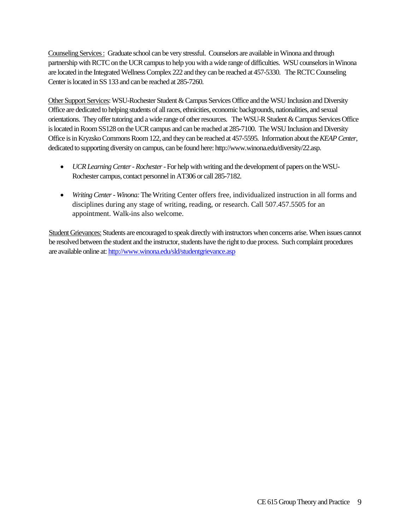Counseling Services : Graduate school can be very stressful. Counselors are available in Winona and through partnership with RCTC on the UCR campus to help you with a wide range of difficulties. WSU counselors in Winona are located in the Integrated Wellness Complex 222 and they can be reached at 457-5330. The RCTC Counseling Center is located in SS 133 and can be reached at 285-7260.

Other Support Services: WSU-Rochester Student & Campus Services Office and the WSU Inclusion and Diversity Office are dedicated to helping students of all races, ethnicities, economic backgrounds, nationalities, and sexual orientations. They offer tutoring and a wide range of other resources. The WSU-R Student & Campus Services Office is located in Room SS128 on the UCR campus and can be reached at 285-7100. The WSU Inclusion and Diversity Office is in KryzskoCommons Room 122, and they can be reached at 457-5595. Information about the *KEAP Center*, dedicated to supporting diversity on campus, can be found here: http://www.winona.edu/diversity/22.asp.

- *UCR Learning Center - Rochester*-For help with writing and the development of papers on the WSU-Rochester campus, contact personnel in AT306 or call 285-7182.
- *Writing Center - Winona:*The Writing Center offers free, individualized instruction in all forms and disciplines during any stage of writing, reading, or research. Call 507.457.5505 for an appointment. Walk-ins also welcome.

Student Grievances: Students are encouraged to speak directly with instructors when concerns arise. When issues cannot be resolved between the student and the instructor, students have the right to due process. Such complaint procedures are available online at[: http://www.winona.edu/sld/studentgrievance.asp](http://www.winona.edu/sld/studentgrievance.asp)